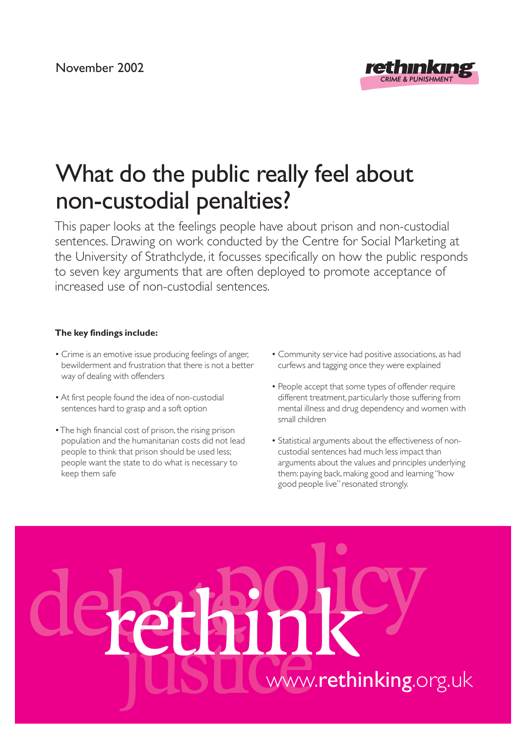

# What do the public really feel about non-custodial penalties?

This paper looks at the feelings people have about prison and non-custodial sentences. Drawing on work conducted by the Centre for Social Marketing at the University of Strathclyde, it focusses specifically on how the public responds to seven key arguments that are often deployed to promote acceptance of increased use of non-custodial sentences.

#### **The key findings include:**

- Crime is an emotive issue producing feelings of anger, bewilderment and frustration that there is not a better way of dealing with offenders
- At first people found the idea of non-custodial sentences hard to grasp and a soft option
- The high financial cost of prison, the rising prison population and the humanitarian costs did not lead people to think that prison should be used less; people want the state to do what is necessary to keep them safe
- Community service had positive associations, as had curfews and tagging once they were explained
- People accept that some types of offender require different treatment, particularly those suffering from mental illness and drug dependency and women with small children
- Statistical arguments about the effectiveness of noncustodial sentences had much less impact than arguments about the values and principles underlying them: paying back, making good and learning "how good people live" resonated strongly.

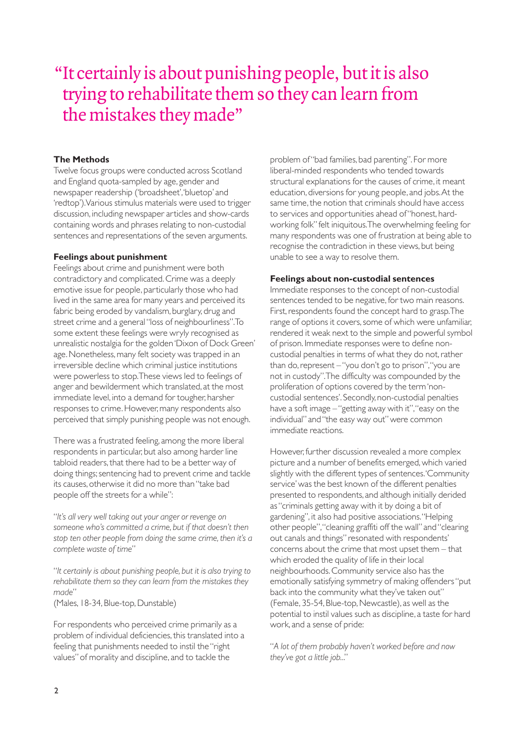## "It certainly is about punishing people, but it is also trying to rehabilitate them so they can learn from the mistakes they made"

#### **The Methods**

Twelve focus groups were conducted across Scotland and England quota-sampled by age, gender and newspaper readership ('broadsheet','bluetop' and 'redtop').Various stimulus materials were used to trigger discussion, including newspaper articles and show-cards containing words and phrases relating to non-custodial sentences and representations of the seven arguments.

#### **Feelings about punishment**

Feelings about crime and punishment were both contradictory and complicated. Crime was a deeply emotive issue for people, particularly those who had lived in the same area for many years and perceived its fabric being eroded by vandalism, burglary, drug and street crime and a general "loss of neighbourliness".To some extent these feelings were wryly recognised as unrealistic nostalgia for the golden 'Dixon of Dock Green' age. Nonetheless, many felt society was trapped in an irreversible decline which criminal justice institutions were powerless to stop.These views led to feelings of anger and bewilderment which translated, at the most immediate level, into a demand for tougher, harsher responses to crime. However, many respondents also perceived that simply punishing people was not enough.

There was a frustrated feeling, among the more liberal respondents in particular, but also among harder line tabloid readers, that there had to be a better way of doing things; sentencing had to prevent crime and tackle its causes, otherwise it did no more than "take bad people off the streets for a while":

"*It's all very well taking out your anger or revenge on someone who's committed a crime, but if that doesn't then stop ten other people from doing the same crime, then it's a complete waste of time*"

"*It certainly is about punishing people, but it is also trying to rehabilitate them so they can learn from the mistakes they made*"

(Males, 18-34, Blue-top, Dunstable)

For respondents who perceived crime primarily as a problem of individual deficiencies, this translated into a feeling that punishments needed to instil the "right values" of morality and discipline, and to tackle the

problem of "bad families, bad parenting". For more liberal-minded respondents who tended towards structural explanations for the causes of crime, it meant education, diversions for young people, and jobs.At the same time, the notion that criminals should have access to services and opportunities ahead of "honest, hardworking folk" felt iniquitous.The overwhelming feeling for many respondents was one of frustration at being able to recognise the contradiction in these views, but being unable to see a way to resolve them.

#### **Feelings about non-custodial sentences**

Immediate responses to the concept of non-custodial sentences tended to be negative, for two main reasons. First, respondents found the concept hard to grasp.The range of options it covers, some of which were unfamiliar, rendered it weak next to the simple and powerful symbol of prison. Immediate responses were to define noncustodial penalties in terms of what they do not, rather than do, represent – "you don't go to prison","you are not in custody".The difficulty was compounded by the proliferation of options covered by the term 'noncustodial sentences'. Secondly, non-custodial penalties have a soft image – "getting away with it","easy on the individual" and "the easy way out" were common immediate reactions.

However, further discussion revealed a more complex picture and a number of benefits emerged, which varied slightly with the different types of sentences.'Community service' was the best known of the different penalties presented to respondents, and although initially derided as "criminals getting away with it by doing a bit of gardening", it also had positive associations."Helping other people","cleaning graffiti off the wall" and "clearing out canals and things" resonated with respondents' concerns about the crime that most upset them – that which eroded the quality of life in their local neighbourhoods. Community service also has the emotionally satisfying symmetry of making offenders "put back into the community what they've taken out" (Female, 35-54, Blue-top, Newcastle), as well as the potential to instil values such as discipline, a taste for hard work, and a sense of pride:

"*A lot of them probably haven't worked before and now they've got a little job..*."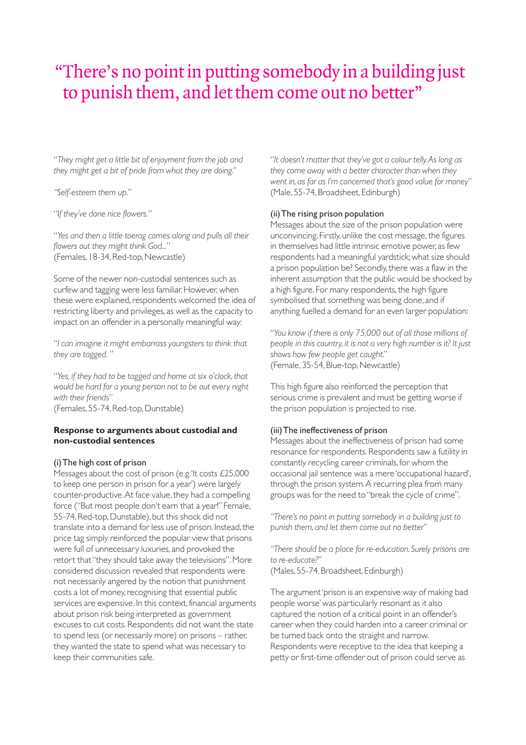# "There's no point in putting somebody in a building just to punish them, and let them come out no better"

"*They might get a little bit of enjoyment from the job and they might get a bit of pride from what they are doing."*

*"Self-esteem them up.*"

"I*f they've done nice flowers.*"

"*Yes and then a little toerag comes along and pulls all their flowers out they might think God...*" (Females, 18-34, Red-top, Newcastle)

Some of the newer non-custodial sentences such as curfew and tagging were less familiar. However, when these were explained, respondents welcomed the idea of restricting liberty and privileges, as well as the capacity to impact on an offender in a personally meaningful way:

"*I can imagine it might embarrass youngsters to think that they are tagged.* "

"*Yes, if they had to be tagged and home at six o'clock, that would be hard for a young person not to be out every night with their friends*"

(Females, 55-74, Red-top, Dunstable)

#### **Response to arguments about custodial and non-custodial sentences**

#### (i) The high cost of prison

Messages about the cost of prison (e.g.'It costs £25,000 to keep one person in prison for a year') were largely counter-productive.At face value, they had a compelling force ("But most people don't earn that a year!" Female, 55-74, Red-top, Dunstable), but this shock did not translate into a demand for less use of prison. Instead, the price tag simply reinforced the popular view that prisons were full of unnecessary luxuries, and provoked the retort that "they should take away the televisions". More considered discussion revealed that respondents were not necessarily angered by the notion that punishment costs a lot of money, recognising that essential public services are expensive. In this context, financial arguments about prison risk being interpreted as government excuses to cut costs. Respondents did not want the state to spend less (or necessarily more) on prisons – rather, they wanted the state to spend what was necessary to keep their communities safe.

"*It doesn't matter that they've got a colour telly.As long as they come away with a better character than when they went in, as far as I'm concerned that's good value for money*" (Male, 55-74, Broadsheet, Edinburgh)

#### (ii) The rising prison population

Messages about the size of the prison population were unconvincing. Firstly, unlike the cost message, the figures in themselves had little intrinsic emotive power, as few respondents had a meaningful yardstick; what size should a prison population be? Secondly, there was a flaw in the inherent assumption that the public would be shocked by a high figure. For many respondents, the high figure symbolised that something was being done, and if anything fuelled a demand for an even larger population:

"*You know if there is only 75,000 out of all those millions of people in this country, it is not a very high number is it? It just shows how few people get caught*." (Female, 35-54, Blue-top, Newcastle)

This high figure also reinforced the perception that serious crime is prevalent and must be getting worse if the prison population is projected to rise.

#### (iii) The ineffectiveness of prison

Messages about the ineffectiveness of prison had some resonance for respondents. Respondents saw a futility in constantly recycling career criminals, for whom the occasional jail sentence was a mere 'occupational hazard', through the prison system.A recurring plea from many groups was for the need to "break the cycle of crime".

*"There's no point in putting somebody in a building just to punish them, and let them come out no better"*

*"There should be a place for re-education. Surely prisons are to re-educate?"* (Males, 55-74, Broadsheet, Edinburgh)

The argument 'prison is an expensive way of making bad people worse' was particularly resonant as it also captured the notion of a critical point in an offender's career when they could harden into a career criminal or be turned back onto the straight and narrow. Respondents were receptive to the idea that keeping a petty or first-time offender out of prison could serve as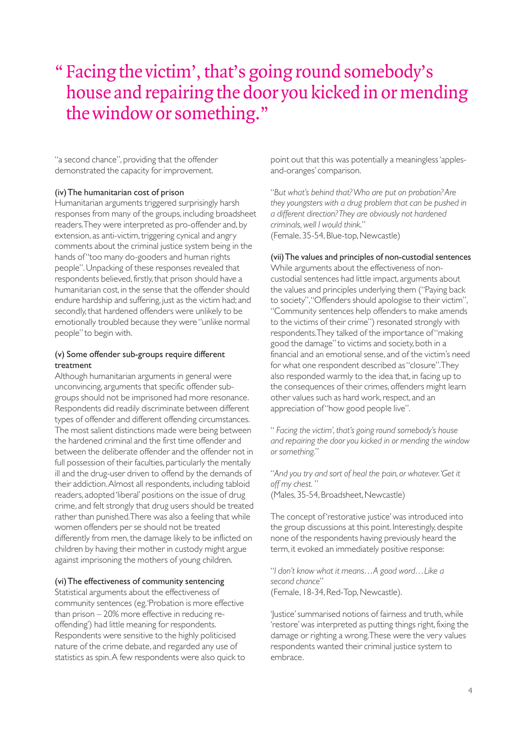# " Facing the victim', that's going round somebody's house and repairing the door you kicked in or mending the window or something."

"a second chance", providing that the offender demonstrated the capacity for improvement.

#### (iv) The humanitarian cost of prison

Humanitarian arguments triggered surprisingly harsh responses from many of the groups, including broadsheet readers.They were interpreted as pro-offender and, by extension, as anti-victim, triggering cynical and angry comments about the criminal justice system being in the hands of "too many do-gooders and human rights people". Unpacking of these responses revealed that respondents believed, firstly, that prison should have a humanitarian cost, in the sense that the offender should endure hardship and suffering, just as the victim had; and secondly, that hardened offenders were unlikely to be emotionally troubled because they were "unlike normal people" to begin with.

#### (v) Some offender sub-groups require different treatment

Although humanitarian arguments in general were unconvincing, arguments that specific offender subgroups should not be imprisoned had more resonance. Respondents did readily discriminate between different types of offender and different offending circumstances. The most salient distinctions made were being between the hardened criminal and the first time offender and between the deliberate offender and the offender not in full possession of their faculties, particularly the mentally ill and the drug-user driven to offend by the demands of their addiction.Almost all respondents, including tabloid readers, adopted 'liberal' positions on the issue of drug crime, and felt strongly that drug users should be treated rather than punished.There was also a feeling that while women offenders per se should not be treated differently from men, the damage likely to be inflicted on children by having their mother in custody might argue against imprisoning the mothers of young children.

#### (vi) The effectiveness of community sentencing

Statistical arguments about the effectiveness of community sentences (eg.'Probation is more effective than prison – 20% more effective in reducing reoffending') had little meaning for respondents. Respondents were sensitive to the highly politicised nature of the crime debate, and regarded any use of statistics as spin.A few respondents were also quick to point out that this was potentially a meaningless 'applesand-oranges' comparison.

"*But what's behind that? Who are put on probation? Are they youngsters with a drug problem that can be pushed in a different direction? They are obviously not hardened criminals, well I would think.*" (Female, 35-54, Blue-top, Newcastle)

#### (vii) The values and principles of non-custodial sentences

While arguments about the effectiveness of noncustodial sentences had little impact, arguments about the values and principles underlying them ("Paying back to society","Offenders should apologise to their victim", "Community sentences help offenders to make amends to the victims of their crime") resonated strongly with respondents.They talked of the importance of "making good the damage" to victims and society, both in a financial and an emotional sense, and of the victim's need for what one respondent described as "closure".They also responded warmly to the idea that, in facing up to the consequences of their crimes, offenders might learn other values such as hard work, respect, and an appreciation of "how good people live".

" *Facing the victim', that's going round somebody's house and repairing the door you kicked in or mending the window or something.*"

"*And you try and sort of heal the pain, or whatever.'Get it off my chest.* " (Males, 35-54, Broadsheet, Newcastle)

The concept of 'restorative justice' was introduced into the group discussions at this point. Interestingly, despite none of the respondents having previously heard the term, it evoked an immediately positive response:

"*I don't know what it means…A good word…Like a second chance*" (Female, 18-34, Red-Top, Newcastle).

'Justice' summarised notions of fairness and truth, while 'restore' was interpreted as putting things right, fixing the damage or righting a wrong.These were the very values respondents wanted their criminal justice system to embrace.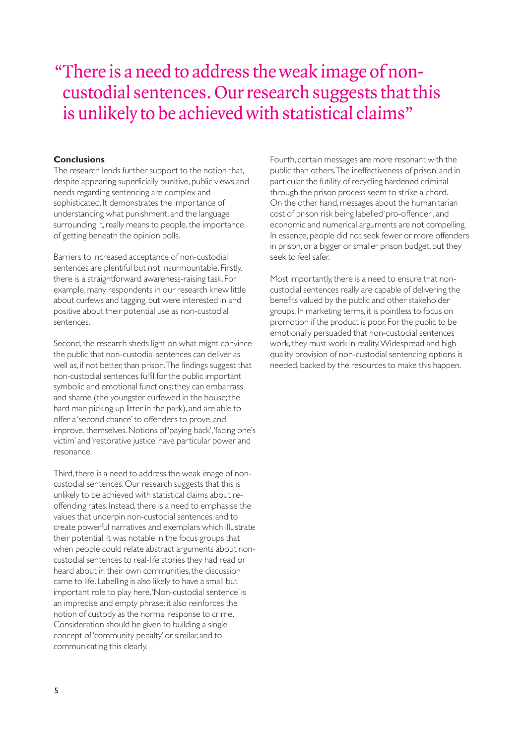## "There is a need to address the weak image of noncustodial sentences. Our research suggests that this is unlikely to be achieved with statistical claims"

#### **Conclusions**

The research lends further support to the notion that, despite appearing superficially punitive, public views and needs regarding sentencing are complex and sophisticated. It demonstrates the importance of understanding what punishment, and the language surrounding it, really means to people, the importance of getting beneath the opinion polls.

Barriers to increased acceptance of non-custodial sentences are plentiful but not insurmountable. Firstly, there is a straightforward awareness-raising task. For example, many respondents in our research knew little about curfews and tagging, but were interested in and positive about their potential use as non-custodial sentences.

Second, the research sheds light on what might convince the public that non-custodial sentences can deliver as well as, if not better, than prison.The findings suggest that non-custodial sentences fulfil for the public important symbolic and emotional functions: they can embarrass and shame (the youngster curfewed in the house; the hard man picking up litter in the park), and are able to offer a 'second chance' to offenders to prove, and improve, themselves. Notions of 'paying back','facing one's victim' and 'restorative justice' have particular power and resonance.

Third, there is a need to address the weak image of noncustodial sentences. Our research suggests that this is unlikely to be achieved with statistical claims about reoffending rates. Instead, there is a need to emphasise the values that underpin non-custodial sentences, and to create powerful narratives and exemplars which illustrate their potential. It was notable in the focus groups that when people could relate abstract arguments about noncustodial sentences to real-life stories they had read or heard about in their own communities, the discussion came to life. Labelling is also likely to have a small but important role to play here.'Non-custodial sentence' is an imprecise and empty phrase; it also reinforces the notion of custody as the normal response to crime. Consideration should be given to building a single concept of 'community penalty' or similar, and to communicating this clearly.

Fourth, certain messages are more resonant with the public than others.The ineffectiveness of prison, and in particular the futility of recycling hardened criminal through the prison process seem to strike a chord. On the other hand, messages about the humanitarian cost of prison risk being labelled 'pro-offender', and economic and numerical arguments are not compelling. In essence, people did not seek fewer or more offenders in prison, or a bigger or smaller prison budget, but they seek to feel safer.

Most importantly, there is a need to ensure that noncustodial sentences really are capable of delivering the benefits valued by the public and other stakeholder groups. In marketing terms, it is pointless to focus on promotion if the product is poor. For the public to be emotionally persuaded that non-custodial sentences work, they must work in reality.Widespread and high quality provision of non-custodial sentencing options is needed, backed by the resources to make this happen.